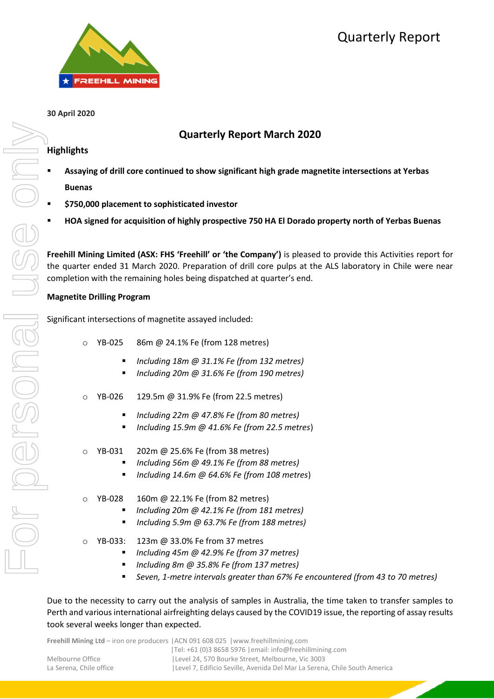

# Quarterly Report

## **30 April 2020**

## **Quarterly Report March 2020**

## **Highlights**

- **Assaying of drill core continued to show significant high grade magnetite intersections at Yerbas Buenas**
- **\$750,000 placement to sophisticated investor**
- **HOA signed for acquisition of highly prospective 750 HA El Dorado property north of Yerbas Buenas**

**Freehill Mining Limited (ASX: FHS 'Freehill' or 'the Company')** is pleased to provide this Activities report for the quarter ended 31 March 2020. Preparation of drill core pulps at the ALS laboratory in Chile were near completion with the remaining holes being dispatched at quarter's end.

## **Magnetite Drilling Program**

Significant intersections of magnetite assayed included:

- o YB-025 86m @ 24.1% Fe (from 128 metres)
	- *Including 18m @ 31.1% Fe (from 132 metres)*
	- *Including 20m @ 31.6% Fe (from 190 metres)*
- o YB-026 129.5m @ 31.9% Fe (from 22.5 metres)
	- *Including 22m @ 47.8% Fe (from 80 metres)*
	- *Including 15.9m @ 41.6% Fe (from 22.5 metres*)
- YB-031 202m @ 25.6% Fe (from 38 metres)
	- *Including 56m @ 49.1% Fe (from 88 metres)*
	- *Including 14.6m @ 64.6% Fe (from 108 metres*)
- o YB-028 160m @ 22.1% Fe (from 82 metres)
	- *Including 20m @ 42.1% Fe (from 181 metres)*
	- *Including 5.9m @ 63.7% Fe (from 188 metres)*
- o YB-033: 123m @ 33.0% Fe from 37 metres
	- *Including 45m @ 42.9% Fe (from 37 metres)*
	- *Including 8m @ 35.8% Fe (from 137 metres)*
	- *Seven, 1-metre intervals greater than 67% Fe encountered (from 43 to 70 metres)*

Due to the necessity to carry out the analysis of samples in Australia, the time taken to transfer samples to Perth and various international airfreighting delays caused by the COVID19 issue, the reporting of assay results took several weeks longer than expected.

**Freehill Mining Ltd** – iron ore producers |ACN 091 608 025 |www.freehillmining.com

| <u>I I COMMITTED IN THE HISTORY OF A STATE OF A STATE OF A STATE OF A STATE OF A STATE OF A STATE OF A STATE OF A STATE OF A STATE OF A STATE OF A STATE OF A STATE OF A STATE OF A STATE OF A STATE OF A STATE OF A STATE OF A </u> |
|--------------------------------------------------------------------------------------------------------------------------------------------------------------------------------------------------------------------------------------|
| $ Te : +61$ (0)3 8658 5976   email: info@freehillmining.com                                                                                                                                                                          |
| Level 24, 570 Bourke Street, Melbourne, Vic 3003                                                                                                                                                                                     |
| Level 7, Edificio Seville, Avenida Del Mar La Serena, Chile South America                                                                                                                                                            |
|                                                                                                                                                                                                                                      |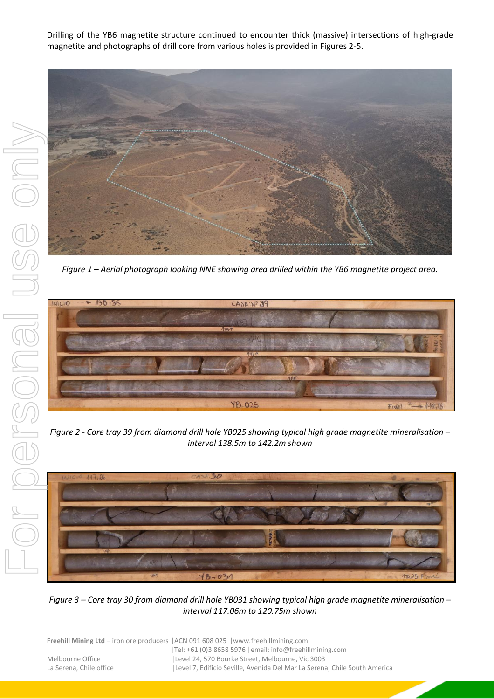Drilling of the YB6 magnetite structure continued to encounter thick (massive) intersections of high-grade magnetite and photographs of drill core from various holes is provided in Figures 2-5.



*Figure 1 – Aerial photograph looking NNE showing area drilled within the YB6 magnetite project area.*



*Figure 2 - Core tray 39 from diamond drill hole YB025 showing typical high grade magnetite mineralisation – interval 138.5m to 142.2m shown*



*Figure 3 – Core tray 30 from diamond drill hole YB031 showing typical high grade magnetite mineralisation – interval 117.06m to 120.75m shown*

|                         | <b>Freehill Mining Ltd</b> – iron ore producers $ ACN091608025 $ www.freehillmining.com |
|-------------------------|-----------------------------------------------------------------------------------------|
|                         | Tel: +61 (0)3 8658 5976   email: info@freehillmining.com                                |
| Melbourne Office        | Level 24, 570 Bourke Street, Melbourne, Vic 3003                                        |
| La Serena. Chile office | Level 7, Edificio Seville, Avenida Del Mar La Serena, Chile South America               |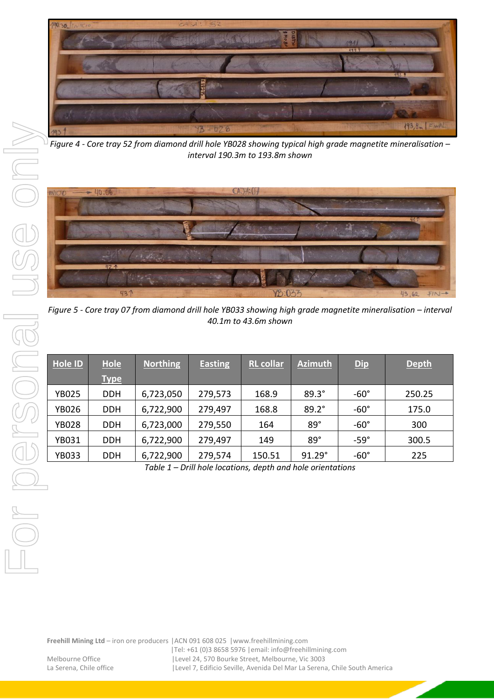

*Figure 4 - Core tray 52 from diamond drill hole YB028 showing typical high grade magnetite mineralisation – interval 190.3m to 193.8m shown*



*Figure 5 - Core tray 07 from diamond drill hole YB033 showing high grade magnetite mineralisation – interval 40.1m to 43.6m shown*

| Hole ID      | <b>Hole</b><br><b>Type</b> | <b>Northing</b> | <b>Easting</b> | <b>RL</b> collar | <b>Azimuth</b> | <b>Dip</b>  | <b>Depth</b> |
|--------------|----------------------------|-----------------|----------------|------------------|----------------|-------------|--------------|
| <b>YB025</b> | <b>DDH</b>                 | 6,723,050       | 279,573        | 168.9            | $89.3^\circ$   | $-60^\circ$ | 250.25       |
| <b>YB026</b> | <b>DDH</b>                 | 6,722,900       | 279,497        | 168.8            | $89.2^\circ$   | $-60^\circ$ | 175.0        |
| <b>YB028</b> | <b>DDH</b>                 | 6,723,000       | 279,550        | 164              | 89°            | $-60^\circ$ | 300          |
| <b>YB031</b> | <b>DDH</b>                 | 6,722,900       | 279,497        | 149              | 89°            | $-59^\circ$ | 300.5        |
| <b>YB033</b> | <b>DDH</b>                 | 6,722,900       | 279,574        | 150.51           | 91.29°         | $-60^\circ$ | 225          |

*Table 1 – Drill hole locations, depth and hole orientations*

**Freehill Mining Ltd** – iron ore producers |ACN 091 608 025 |www.freehillmining.com

|Tel: +61 (0)3 8658 5976 |email: info@freehillmining.com Melbourne Office | Level 24, 570 Bourke Street, Melbourne, Vic 3003 La Serena, Chile office | Level 7, Edificio Seville, Avenida Del Mar La Serena, Chile South America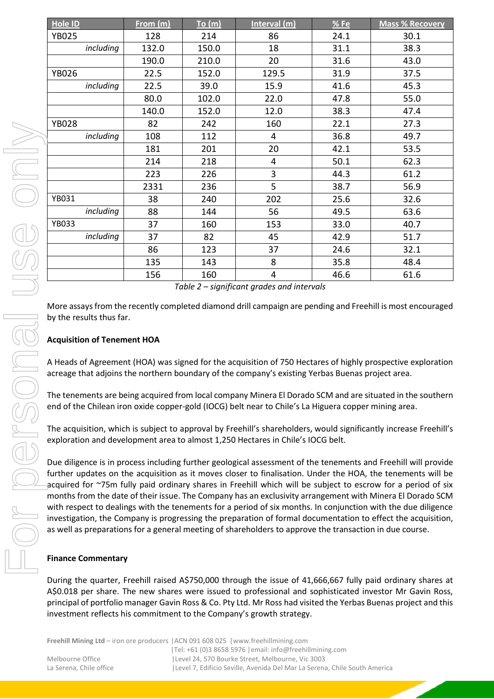| Hole ID                   | From (m) | To (m) | Interval (m)                                                                                                                                                                                                                                                                                | %Fe  | <b>Mass % Recovery</b>                                                                                                                                                                                                                                                                                                                                                                                                                                                                                                                                                                                                                                                                      |
|---------------------------|----------|--------|---------------------------------------------------------------------------------------------------------------------------------------------------------------------------------------------------------------------------------------------------------------------------------------------|------|---------------------------------------------------------------------------------------------------------------------------------------------------------------------------------------------------------------------------------------------------------------------------------------------------------------------------------------------------------------------------------------------------------------------------------------------------------------------------------------------------------------------------------------------------------------------------------------------------------------------------------------------------------------------------------------------|
| <b>YB025</b>              | 128      | 214    | 86                                                                                                                                                                                                                                                                                          | 24.1 | 30.1                                                                                                                                                                                                                                                                                                                                                                                                                                                                                                                                                                                                                                                                                        |
| including                 | 132.0    | 150.0  | 18                                                                                                                                                                                                                                                                                          | 31.1 | 38.3                                                                                                                                                                                                                                                                                                                                                                                                                                                                                                                                                                                                                                                                                        |
|                           | 190.0    | 210.0  | 20                                                                                                                                                                                                                                                                                          | 31.6 | 43.0                                                                                                                                                                                                                                                                                                                                                                                                                                                                                                                                                                                                                                                                                        |
| <b>YB026</b>              | 22.5     | 152.0  | 129.5                                                                                                                                                                                                                                                                                       | 31.9 | 37.5                                                                                                                                                                                                                                                                                                                                                                                                                                                                                                                                                                                                                                                                                        |
| including                 | 22.5     | 39.0   | 15.9                                                                                                                                                                                                                                                                                        | 41.6 | 45.3                                                                                                                                                                                                                                                                                                                                                                                                                                                                                                                                                                                                                                                                                        |
|                           | 80.0     | 102.0  | 22.0                                                                                                                                                                                                                                                                                        | 47.8 | 55.0                                                                                                                                                                                                                                                                                                                                                                                                                                                                                                                                                                                                                                                                                        |
|                           | 140.0    | 152.0  | 12.0                                                                                                                                                                                                                                                                                        | 38.3 | 47.4                                                                                                                                                                                                                                                                                                                                                                                                                                                                                                                                                                                                                                                                                        |
| <b>YB028</b>              | 82       | 242    | 160                                                                                                                                                                                                                                                                                         | 22.1 | 27.3                                                                                                                                                                                                                                                                                                                                                                                                                                                                                                                                                                                                                                                                                        |
| including                 | 108      | 112    | 4                                                                                                                                                                                                                                                                                           | 36.8 | 49.7                                                                                                                                                                                                                                                                                                                                                                                                                                                                                                                                                                                                                                                                                        |
|                           | 181      | 201    | 20                                                                                                                                                                                                                                                                                          | 42.1 | 53.5                                                                                                                                                                                                                                                                                                                                                                                                                                                                                                                                                                                                                                                                                        |
|                           | 214      | 218    | 4                                                                                                                                                                                                                                                                                           | 50.1 | 62.3                                                                                                                                                                                                                                                                                                                                                                                                                                                                                                                                                                                                                                                                                        |
|                           | 223      | 226    | 3                                                                                                                                                                                                                                                                                           | 44.3 | 61.2                                                                                                                                                                                                                                                                                                                                                                                                                                                                                                                                                                                                                                                                                        |
|                           | 2331     | 236    | 5                                                                                                                                                                                                                                                                                           | 38.7 | 56.9                                                                                                                                                                                                                                                                                                                                                                                                                                                                                                                                                                                                                                                                                        |
| YB031                     | 38       | 240    | 202                                                                                                                                                                                                                                                                                         | 25.6 | 32.6                                                                                                                                                                                                                                                                                                                                                                                                                                                                                                                                                                                                                                                                                        |
| including                 | 88       | 144    | 56                                                                                                                                                                                                                                                                                          | 49.5 | 63.6                                                                                                                                                                                                                                                                                                                                                                                                                                                                                                                                                                                                                                                                                        |
| <b>YB033</b>              | 37       | 160    | 153                                                                                                                                                                                                                                                                                         | 33.0 | 40.7                                                                                                                                                                                                                                                                                                                                                                                                                                                                                                                                                                                                                                                                                        |
| including                 | 37       | 82     | 45                                                                                                                                                                                                                                                                                          | 42.9 | 51.7                                                                                                                                                                                                                                                                                                                                                                                                                                                                                                                                                                                                                                                                                        |
|                           | 86       | 123    | 37                                                                                                                                                                                                                                                                                          | 24.6 | 32.1                                                                                                                                                                                                                                                                                                                                                                                                                                                                                                                                                                                                                                                                                        |
|                           | 135      | 143    | 8                                                                                                                                                                                                                                                                                           | 35.8 | 48.4                                                                                                                                                                                                                                                                                                                                                                                                                                                                                                                                                                                                                                                                                        |
|                           | 156      | 160    | 4                                                                                                                                                                                                                                                                                           | 46.6 | 61.6                                                                                                                                                                                                                                                                                                                                                                                                                                                                                                                                                                                                                                                                                        |
|                           |          |        | Table 2 - significant grades and intervals                                                                                                                                                                                                                                                  |      |                                                                                                                                                                                                                                                                                                                                                                                                                                                                                                                                                                                                                                                                                             |
|                           |          |        | acreage that adjoins the northern boundary of the company's existing Yerbas Buenas project area.<br>end of the Chilean iron oxide copper-gold (IOCG) belt near to Chile's La Higuera copper mining area.<br>exploration and development area to almost 1,250 Hectares in Chile's IOCG belt. |      | The tenements are being acquired from local company Minera El Dorado SCM and are situated in the southern<br>The acquisition, which is subject to approval by Freehill's shareholders, would significantly increase Freehill's                                                                                                                                                                                                                                                                                                                                                                                                                                                              |
|                           |          |        | as well as preparations for a general meeting of shareholders to approve the transaction in due course.                                                                                                                                                                                     |      | Due diligence is in process including further geological assessment of the tenements and Freehill will provide<br>further updates on the acquisition as it moves closer to finalisation. Under the HOA, the tenements will be<br>acquired for ~75m fully paid ordinary shares in Freehill which will be subject to escrow for a period of six<br>months from the date of their issue. The Company has an exclusivity arrangement with Minera El Dorado SCM<br>with respect to dealings with the tenements for a period of six months. In conjunction with the due diligence<br>investigation, the Company is progressing the preparation of formal documentation to effect the acquisition, |
| <b>Finance Commentary</b> |          |        |                                                                                                                                                                                                                                                                                             |      |                                                                                                                                                                                                                                                                                                                                                                                                                                                                                                                                                                                                                                                                                             |
|                           |          |        | investment reflects his commitment to the Company's growth strategy.                                                                                                                                                                                                                        |      | During the quarter, Freehill raised A\$750,000 through the issue of 41,666,667 fully paid ordinary shares at<br>A\$0.018 per share. The new shares were issued to professional and sophisticated investor Mr Gavin Ross,<br>principal of portfolio manager Gavin Ross & Co. Pty Ltd. Mr Ross had visited the Yerbas Buenas project and this                                                                                                                                                                                                                                                                                                                                                 |

## **Acquisition of Tenement HOA**

### **Finance Commentary**

**Freehill Mining Ltd** – iron ore producers |ACN 091 608 025 |www.freehillmining.com |Tel: +61 (0)3 8658 5976 |email: info@freehillmining.com Melbourne Office |Level 24, 570 Bourke Street, Melbourne, Vic 3003 La Serena, Chile office | Level 7, Edificio Seville, Avenida Del Mar La Serena, Chile South America